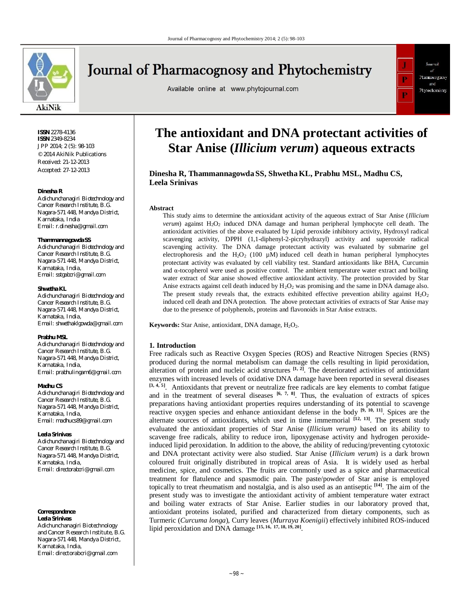

# **Journal of Pharmacognosy and Phytochemistry**

Available online at www.phytojournal.com



**ISSN** 2278-4136 **ISSN** 2349-8234 JPP 2014; 2 (5): 98-103 © 2014 AkiNik Publications Received: 21-12-2013 Accepted: 27-12-2013

#### **Dinesha R**

*Adichunchanagiri Biotechnology and Cancer Research Institute, B.G. Nagara-571 448, Mandya District, Karnataka, India Email: r.dinesha@gmail.com*

#### **Thammannagowda SS**

*Adichunchanagiri Biotechnology and Cancer Research Institute, B.G. Nagara-571 448, Mandya District, Karnataka, India, Email: sstgabcri@gmail.com*

#### **Shwetha KL**

*Adichunchanagiri Biotechnology and Cancer Research Institute, B.G. Nagara-571 448, Mandya District, Karnataka, India, Email: shwethaklgowda@gmail.com*

#### **Prabhu MSL**

*Adichunchanagiri Biotechnology and Cancer Research Institute, B.G. Nagara-571 448, Mandya District, Karnataka, India, Email: prabhulingam6@gmail.com*

#### **Madhu CS**

*Adichunchanagiri Biotechnology and Cancer Research Institute, B.G. Nagara-571 448, Mandya District, Karnataka, India, Email: madhucs89@gmail.com*

#### **Leela Srinivas**

*Adichunchanagiri Biotechnology and Cancer Research Institute, B.G. Nagara-571 448, Mandya District, Karnataka, India, Email: directorabcri@gmail.com*

#### **Correspondence Leela Srinivas**

Adichunchanagiri Biotechnology and Cancer Research Institute, B.G. Nagara-571 448, Mandya District, Karnataka, India, Email: directorabcri@gmail.com

# **The antioxidant and DNA protectant activities of Star Anise (***Illicium verum***) aqueous extracts**

# **Dinesha R, Thammannagowda SS, ShwethaKL, Prabhu MSL, Madhu CS, Leela Srinivas**

## **Abstract**

This study aims to determine the antioxidant activity of the aqueous extract of Star Anise (*Illicium verum*) against H<sub>2</sub>O<sub>2</sub> induced DNA damage and human peripheral lymphocyte cell death. The antioxidant activities of the above evaluated by Lipid peroxide inhibitory activity, Hydroxyl radical scavenging activity, DPPH (1,1-diphenyl-2-picryhydrazyl) activity and superoxide radical scavenging activity. The DNA damage protectant activity was evaluated by submarine gel electrophoresis and the H<sub>2</sub>O<sub>2</sub> (100  $\mu$ M) induced cell death in human peripheral lymphocytes protectant activity was evaluated by cell viability test. Standard antioxidants like BHA, Curcumin and α-tocopherol were used as positive control. The ambient temperature water extract and boiling water extract of Star anise showed effective antioxidant activity. The protection provided by Star Anise extracts against cell death induced by  $H_2O_2$  was promising and the same in DNA damage also. The present study reveals that, the extracts exhibited effective prevention ability against  $H_2O_2$ induced cell death and DNA protection. The above protectant activities of extracts of Star Anise may due to the presence of polyphenols, proteins and flavonoids in Star Anise extracts.

**Keywords:** Star Anise, antioxidant, DNA damage, H<sub>2</sub>O<sub>2</sub>.

#### **1. Introduction**

Free radicals such as Reactive Oxygen Species (ROS) and Reactive Nitrogen Species (RNS) produced during the normal metabolism can damage the cells resulting in lipid peroxidation, alteration of protein and nucleic acid structures  $[1, 2]$ . The deteriorated activities of antioxidant enzymes with increased levels of oxidative DNA damage have been reported in several diseases **[3, 4, 5]**. Antioxidants that prevent or neutralize free radicals are key elements to combat fatigue and in the treatment of several diseases <sup>[6, 7, 8]</sup>. Thus, the evaluation of extracts of spices preparations having antioxidant properties requires understanding of its potential to scavenge reactive oxygen species and enhance antioxidant defense in the body **[9, 10, 11]**. Spices are the alternate sources of antioxidants, which used in time immemorial **[12, 13]**. The present study evaluated the antioxidant properties of Star Anise (*Illicium verum)* based on its ability to scavenge free radicals, ability to reduce iron, lipoxygenase activity and hydrogen peroxideinduced lipid peroxidation. In addition to the above, the ability of reducing/preventing cytotoxic and DNA protectant activity were also studied. Star Anise (*Illicium verum*) is a dark brown coloured fruit originally distributed in tropical areas of Asia. It is widely used as herbal medicine, spice, and cosmetics. The fruits are commonly used as a spice and pharmaceutical treatment for flatulence and spasmodic pain. The paste/powder of Star anise is employed topically to treat rheumatism and nostalgia, and is also used as an antiseptic **[14]**. The aim of the present study was to investigate the antioxidant activity of ambient temperature water extract and boiling water extracts of Star Anise. Earlier studies in our laboratory proved that, antioxidant proteins isolated, purified and characterized from dietary components, such as Turmeric (*Curcuma longa*), Curry leaves (*Murraya Koenigii*) effectively inhibited ROS-induced lipid peroxidation and DNA damage **[15, 16, 17, 18, 19, 20]** .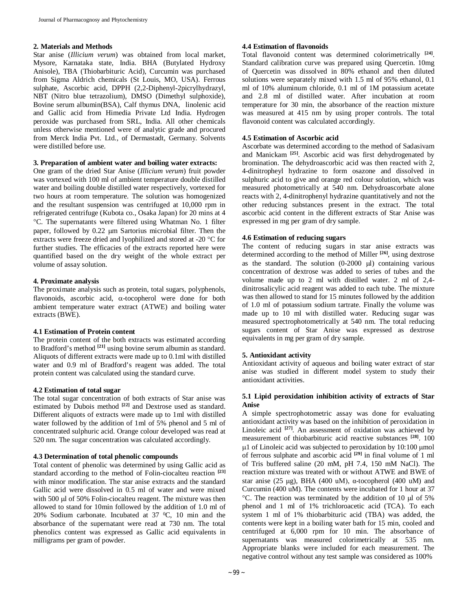## **2. Materials and Methods**

Star anise (*Illicium verum*) was obtained from local market, Mysore, Karnataka state, India. BHA (Butylated Hydroxy Anisole), TBA (Thiobarbituric Acid), Curcumin was purchased from Sigma Aldrich chemicals (St Louis, MO, USA). Ferrous sulphate, Ascorbic acid, DPPH (2,2-Diphenyl-2picrylhydrazyl, NBT (Nitro blue tetrazolium), DMSO (Dimethyl sulphoxide), Bovine serum albumin(BSA), Calf thymus DNA, linolenic acid and Gallic acid from Himedia Private Ltd India. Hydrogen peroxide was purchased from SRL, India. All other chemicals unless otherwise mentioned were of analytic grade and procured from Merck India Pvt. Ltd., of Dermastadt, Germany. Solvents were distilled before use.

# **3. Preparation of ambient water and boiling water extracts:**

One gram of the dried Star Anise (*Illicium verum*) fruit powder was vortexed with 100 ml of ambient temperature double distilled water and boiling double distilled water respectively, vortexed for two hours at room temperature. The solution was homogenized and the resultant suspension was centrifuged at 10,000 rpm in refrigerated centrifuge (Kubota co., Osaka Japan) for 20 mins at 4 C. The supernatants were filtered using Whatman No. 1 filter paper, followed by  $0.22 \mu m$  Sartorius microbial filter. Then the extracts were freeze dried and lyophilized and stored at -20  $^{\circ}$ C for further studies. The efficacies of the extracts reported here were quantified based on the dry weight of the whole extract per volume of assay solution.

# **4. Proximate analysis**

The proximate analysis such as protein, total sugars, polyphenols, flavonoids, ascorbic acid,  $\alpha$ -tocopherol were done for both ambient temperature water extract (ATWE) and boiling water extracts (BWE).

# **4.1 Estimation of Protein content**

The protein content of the both extracts was estimated according to Bradford's method **[21]** using bovine serum albumin as standard. Aliquots of different extracts were made up to 0.1ml with distilled water and 0.9 ml of Bradford's reagent was added. The total protein content was calculated using the standard curve.

# **4.2 Estimation of total sugar**

The total sugar concentration of both extracts of Star anise was estimated by Dubois method **[22]** and Dextrose used as standard. Different aliquots of extracts were made up to 1ml with distilled water followed by the addition of 1ml of 5% phenol and 5 ml of concentrated sulphuric acid. Orange colour developed was read at 520 nm. The sugar concentration was calculated accordingly.

#### **4.3 Determination of total phenolic compounds**

Total content of phenolic was determined by using Gallic acid as standard according to the method of Folin-ciocalteu reaction **[23]** with minor modification. The star anise extracts and the standard Gallic acid were dissolved in 0.5 ml of water and were mixed with 500  $\mu$ l of 50% Folin-ciocalteu reagent. The mixture was then allowed to stand for 10min followed by the addition of 1.0 ml of 20% Sodium carbonate. Incubated at  $37 \text{ °C}$ , 10 min and the absorbance of the supernatant were read at 730 nm. The total phenolics content was expressed as Gallic acid equivalents in milligrams per gram of powder.

## **4.4 Estimation of flavonoids**

Total flavonoid content was determined colorimetrically **[24]** . Standard calibration curve was prepared using Quercetin. 10mg of Quercetin was dissolved in 80% ethanol and then diluted solutions were separately mixed with 1.5 ml of 95% ethanol, 0.1 ml of 10% aluminum chloride, 0.1 ml of 1M potassium acetate and 2.8 ml of distilled water. After incubation at room temperature for 30 min, the absorbance of the reaction mixture was measured at 415 nm by using proper controls. The total flavonoid content was calculated accordingly.

# **4.5 Estimation of Ascorbic acid**

Ascorbate was determined according to the method of Sadasivam and Manickam **[25]**. Ascorbic acid was first dehydrogenated by bromination. The dehydroascorbic acid was then reacted with 2, 4-dinitropheyl hydrazine to form osazone and dissolved in sulphuric acid to give and orange red colour solution, which was measured photometrically at 540 nm. Dehydroascorbate alone reacts with 2, 4-dinitrophenyl hydrazine quantitatively and not the other reducing substances present in the extract. The total ascorbic acid content in the different extracts of Star Anise was expressed in mg per gram of dry sample.

## **4.6 Estimation of reducing sugars**

The content of reducing sugars in star anise extracts was determined according to the method of Miller **[26]**, using dextrose as the standard. The solution  $(0-2000 \mu l)$  containing various concentration of dextrose was added to series of tubes and the volume made up to 2 ml with distilled water. 2 ml of 2,4 dinitrosalicylic acid reagent was added to each tube. The mixture was then allowed to stand for 15 minutes followed by the addition of 1.0 ml of potassium sodium tartrate. Finally the volume was made up to 10 ml with distilled water. Reducing sugar was measured spectrophotometrically at 540 nm. The total reducing sugars content of Star Anise was expressed as dextrose equivalents in mg per gram of dry sample.

# **5. Antioxidant activity**

Antioxidant activity of aqueous and boiling water extract of star anise was studied in different model system to study their antioxidant activities.

## **5.1 Lipid peroxidation inhibition activity of extracts of Star Anise**

A simple spectrophotometric assay was done for evaluating antioxidant activity was based on the inhibition of peroxidation in Linoleic acid **[27]**. An assessment of oxidation was achieved by measurement of thiobarbituric acid reactive substances **[28]**. 100  $\mu$ 1 of Linoleic acid was subjected to peroxidation by 10:100  $\mu$ mol of ferrous sulphate and ascorbic acid **[29]** in final volume of 1 ml of Tris buffered saline (20 mM, pH 7.4, 150 mM NaCl). The reaction mixture was treated with or without ATWE and BWE of star anise (25 µg), BHA (400 uM),  $\alpha$ -tocopherol (400 uM) and Curcumin (400 uM). The contents were incubated for 1 hour at 37  $\degree$ C. The reaction was terminated by the addition of 10 µl of 5% phenol and 1 ml of 1% trichloroacetic acid (TCA). To each system 1 ml of 1% thiobarbituric acid (TBA) was added, the contents were kept in a boiling water bath for 15 min, cooled and centrifuged at 6,000 rpm for 10 min. The absorbance of supernatants was measured colorimetrically at 535 nm. Appropriate blanks were included for each measurement. The negative control without any test sample was considered as 100%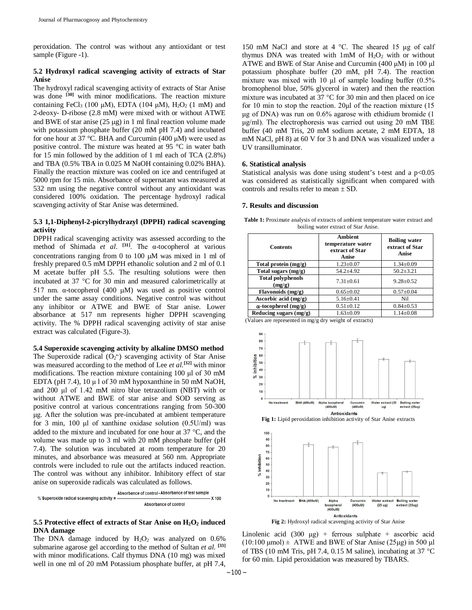peroxidation. The control was without any antioxidant or test sample (Figure -1).

## **5.2 Hydroxyl radical scavenging activity of extracts of Star Anise**

The hydroxyl radical scavenging activity of extracts of Star Anise was done <sup>[30]</sup> with minor modifications. The reaction mixture containing FeCl<sub>3</sub> (100 μM), EDTA (104 μM), H<sub>2</sub>O<sub>2</sub> (1 mM) and 2-deoxy- D-ribose (2.8 mM) were mixed with or without ATWE and BWE of star anise  $(25 \mu g)$  in 1 ml final reaction volume made with potassium phosphate buffer (20 mM pH 7.4) and incubated for one hour at 37 °C. BHA and Curcumin (400 μM) were used as positive control. The mixture was heated at 95 °C in water bath for 15 min followed by the addition of 1 ml each of TCA (2.8%) and TBA (0.5% TBA in 0.025 M NaOH containing 0.02% BHA). Finally the reaction mixture was cooled on ice and centrifuged at 5000 rpm for 15 min. Absorbance of supernatant was measured at 532 nm using the negative control without any antioxidant was considered 100% oxidation. The percentage hydroxyl radical scavenging activity of Star Anise was determined.

# **5.3 1,1-Diphenyl-2-picrylhydrazyl (DPPH) radical scavenging activity**

DPPH radical scavenging activity was assessed according to the method of Shimada *et al*. **[31]**. The α-tocopherol at various concentrations ranging from 0 to 100  $\mu$ M was mixed in 1 ml of freshly prepared 0.5 mM DPPH ethanolic solution and 2 ml of 0.1 M acetate buffer pH 5.5. The resulting solutions were then incubated at  $37 \text{ °C}$  for  $30 \text{ min}$  and measured calorimetrically at 517 nm. α-tocopherol (400 μM) was used as positive control under the same assay conditions. Negative control was without any inhibitor or ATWE and BWE of Star anise. Lower absorbance at 517 nm represents higher DPPH scavenging activity. The % DPPH radical scavenging activity of star anise extract was calculated (Figure-3).

#### **5.4 Superoxide scavenging activity by alkaline DMSO method**

The Superoxide radical  $(O_2^{\bullet})$  scavenging activity of Star Anise was measured according to the method of Lee *et al.***[32]** with minor modifications. The reaction mixture containing 100 μl of 30 mM EDTA (pH 7.4),  $10 \mu 1$  of 30 mM hypoxanthine in 50 mM NaOH, and 200 μl of 1.42 mM nitro blue tetrazolium (NBT) with or without ATWE and BWE of star anise and SOD serving as positive control at various concentrations ranging from 50-300 μg. After the solution was pre-incubated at ambient temperature for 3 min, 100 μl of xanthine oxidase solution (0.5U/ml) was added to the mixture and incubated for one hour at  $37^{\circ}$ C, and the volume was made up to 3 ml with 20 mM phosphate buffer (pH 7.4). The solution was incubated at room temperature for 20 minutes, and absorbance was measured at 560 nm. Appropriate controls were included to rule out the artifacts induced reaction. The control was without any inhibitor. Inhibitory effect of star anise on superoxide radicals was calculated as follows.



#### **5.5 Protective effect of extracts of Star Anise on H2O<sup>2</sup> induced DNA damage**

The DNA damage induced by  $H_2O_2$  was analyzed on 0.6% submarine agarose gel according to the method of Sultan *et al.* **[33]** with minor modifications. Calf thymus DNA (10 mg) was mixed well in one ml of 20 mM Potassium phosphate buffer, at pH 7.4, 150 mM NaCl and store at  $4^{\circ}$ C. The sheared 15 µg of calf thymus DNA was treated with  $1mM$  of  $H<sub>2</sub>O<sub>2</sub>$  with or without ATWE and BWE of Star Anise and Curcumin (400 μM) in 100 μl potassium phosphate buffer (20 mM, pH 7.4). The reaction mixture was mixed with 10 μl of sample loading buffer (0.5% bromophenol blue, 50% glycerol in water) and then the reaction mixture was incubated at  $37^{\circ}$ C for 30 min and then placed on ice for 10 min to stop the reaction. 20μl of the reaction mixture (15 μg of DNA) was run on 0.6% agarose with ethidium bromide (1 μg/ml). The electrophoresis was carried out using 20 mM TBE buffer (40 mM Tris, 20 mM sodium acetate, 2 mM EDTA, 18 mM NaCl, pH 8) at 60 V for 3 h and DNA was visualized under a UV transilluminator.

#### **6. Statistical analysis**

Statistical analysis was done using student's t-test and a  $p<0.05$ was considered as statistically significant when compared with controls and results refer to mean  $\pm$  SD.

#### **7. Results and discussion**

**Table 1:** Proximate analysis of extracts of ambient temperature water extract and boiling water extract of Star Anise.

| <b>Contents</b>                    | <b>Ambient</b><br>temperature water<br>extract of Star<br><b>Anise</b> | <b>Boiling water</b><br>extract of Star<br>Anise |
|------------------------------------|------------------------------------------------------------------------|--------------------------------------------------|
| Total protein $(mg/g)$             | $1.23 \pm 0.07$                                                        | $1.34 \pm 0.09$                                  |
| Total sugars $(mg/g)$              | $54.2 + 4.92$                                                          | $50.2 \pm 3.21$                                  |
| <b>Total polyphenols</b><br>(mg/g) | $7.31 + 0.61$                                                          | $9.28 + 0.52$                                    |
| Flavonoids (mg/g)                  | $0.65 \pm 0.02$                                                        | $0.57 + 0.04$                                    |
| Ascorbic acid $(mg/g)$             | $5.16 \pm 0.41$                                                        | Nil                                              |
| $\alpha$ -tocopherol (mg/g)        | $0.51 \pm 0.12$                                                        | $0.84 \pm 0.53$                                  |
| Reducing sugars $(mg/g)$           | $1.63 \pm 0.09$                                                        | $1.14 \pm 0.08$                                  |

(Values are represented in mg/g dry weight of extracts)



**Fig 2:** Hydroxyl radical scavenging activity of Star Anise

Linolenic acid  $(300 \text{ µg})$  + ferrous sulphate + ascorbic acid  $(10:100 \text{ \mu} \text{mol}) \pm$  ATWE and BWE of Star Anise (25µg) in 500 µl of TBS (10 mM Tris, pH 7.4, 0.15 M saline), incubating at 37  $^{\circ}$ C for 60 min. Lipid peroxidation was measured by TBARS.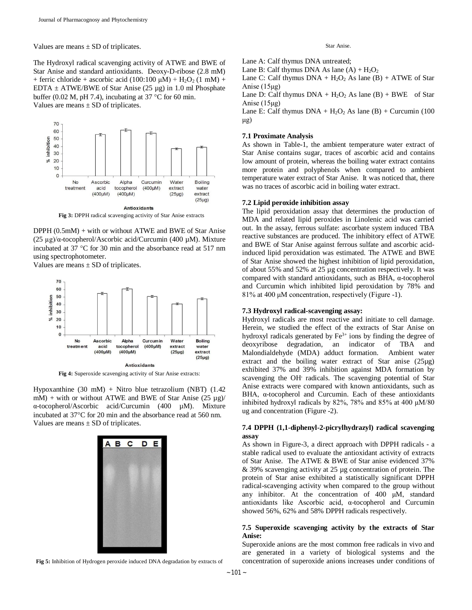Values are means  $\pm$  SD of triplicates.

The Hydroxyl radical scavenging activity of ATWE and BWE of Star Anise and standard antioxidants. Deoxy-D-ribose (2.8 mM) + ferric chloride + ascorbic acid  $(100:100 \mu M)$  + H<sub>2</sub>O<sub>2</sub> (1 mM) + EDTA  $\pm$  ATWE/BWE of Star Anise (25 µg) in 1.0 ml Phosphate buffer (0.02 M, pH 7.4), incubating at 37  $^{\circ}$ C for 60 min. Values are means  $\pm$  SD of triplicates.

 $70$ 60 50 inhibition 40 30  $\%$  $20$  $10$  $\circ$ **Boiling** Ascorbic  $No$ Alpha Curcumin Water treatment acid tocopherol  $(400 \mu M)$ extract water  $(400 \mu M)$  $(400 \text{uM})$  $(25\mu g)$ extract  $(25\mu g)$ **Antioxidants** 

**Fig 3:** DPPH radical scavenging activity of Star Anise extracts

DPPH (0.5mM) + with or without ATWE and BWE of Star Anise (25 µg)/α-tocopherol/Ascorbic acid/Curcumin (400 µM). Mixture incubated at  $37 \text{ °C}$  for  $30 \text{ min}$  and the absorbance read at  $517 \text{ nm}$ using spectrophotometer.

Values are means  $\pm$  SD of triplicates.



**Fig 4:** Superoxide scavenging activity of Star Anise extracts:

Hypoxanthine (30 mM) + Nitro blue tetrazolium (NBT) (1.42 mM) + with or without ATWE and BWE of Star Anise  $(25 \mu g)/$ α-tocopherol/Ascorbic acid/Curcumin (400 µM). Mixture incubated at 37°C for 20 min and the absorbance read at 560 nm. Values are means  $\pm$  SD of triplicates.



**Fig 5:** Inhibition of Hydrogen peroxide induced DNA degradation by extracts of

#### Star Anise.

Lane A: Calf thymus DNA untreated;

Lane B: Calf thymus DNA As lane  $(A)$  +  $H_2O_2$ 

Lane C: Calf thymus  $DNA + H<sub>2</sub>O<sub>2</sub> As lane (B) + ATWE of Star$ Anise (15μg)

Lane D: Calf thymus  $DNA + H<sub>2</sub>O<sub>2</sub> As lane (B) + BWE of Star$ Anise (15μg)

Lane E: Calf thymus  $DNA + H<sub>2</sub>O<sub>2</sub> As lane (B) + Curcumin (100)$ μg)

## **7.1 Proximate Analysis**

As shown in Table-1, the ambient temperature water extract of Star Anise contains sugar, traces of ascorbic acid and contains low amount of protein, whereas the boiling water extract contains more protein and polyphenols when compared to ambient temperature water extract of Star Anise. It was noticed that, there was no traces of ascorbic acid in boiling water extract.

## **7.2 Lipid peroxide inhibition assay**

The lipid peroxidation assay that determines the production of MDA and related lipid peroxides in Linolenic acid was carried out. In the assay, ferrous sulfate: ascorbate system induced TBA reactive substances are produced. The inhibitory effect of ATWE and BWE of Star Anise against ferrous sulfate and ascorbic acidinduced lipid peroxidation was estimated. The ATWE and BWE of Star Anise showed the highest inhibition of lipid peroxidation, of about 55% and 52% at 25 µg concentration respectively. It was compared with standard antioxidants, such as BHA, α-tocopherol and Curcumin which inhibited lipid peroxidation by 78% and 81% at 400 μM concentration, respectively (Figure -1).

## **7.3 Hydroxyl radical-scavenging assay:**

Hydroxyl radicals are most reactive and initiate to cell damage. Herein, we studied the effect of the extracts of Star Anise on hydroxyl radicals generated by  $Fe<sup>3+</sup>$  ions by finding the degree of deoxyribose degradation, an indicator of TBA and Malondialdehyde (MDA) adduct formation. Ambient water extract and the boiling water extract of Star anise (25µg) exhibited 37% and 39% inhibition against MDA formation by scavenging the OH**.** radicals. The scavenging potential of Star Anise extracts were compared with known antioxidants, such as BHA, α-tocopherol and Curcumin. Each of these antioxidants inhibited hydroxyl radicals by 82%, 78% and 85% at 400 μM/80 ug and concentration (Figure -2).

# **7.4 DPPH (1,1-diphenyl-2-picrylhydrazyl) radical scavenging assay**

As shown in Figure-3, a direct approach with DPPH radicals - a stable radical used to evaluate the antioxidant activity of extracts of Star Anise. The ATWE & BWE of Star anise evidenced 37% & 39% scavenging activity at 25 µg concentration of protein. The protein of Star anise exhibited a statistically significant DPPH radical-scavenging activity when compared to the group without any inhibitor. At the concentration of 400 μM, standard antioxidants like Ascorbic acid, α-tocopherol and Curcumin showed 56%, 62% and 58% DPPH radicals respectively.

# **7.5 Superoxide scavenging activity by the extracts of Star Anise:**

Superoxide anions are the most common free radicals in vivo and are generated in a variety of biological systems and the concentration of superoxide anions increases under conditions of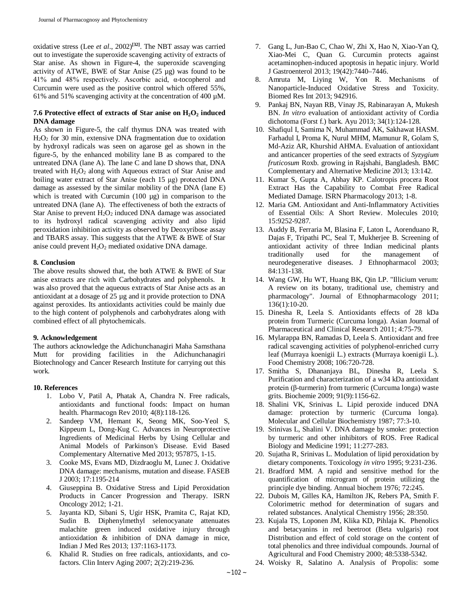oxidative stress (Lee *et al*., 2002)**[32]**. The NBT assay was carried out to investigate the superoxide scavenging activity of extracts of Star anise. As shown in Figure-4, the superoxide scavenging activity of ATWE, BWE of Star Anise  $(25 \mu g)$  was found to be 41% and 48% respectively. Ascorbic acid, α-tocopherol and Curcumin were used as the positive control which offered 55%, 61% and 51% scavenging activity at the concentration of 400 µM.

# **7.6 Protective effect of extracts of Star anise on H2O<sup>2</sup> induced DNA damage**

As shown in Figure-5, the calf thymus DNA was treated with H2O<sup>2</sup> for 30 min, extensive DNA fragmentation due to oxidation by hydroxyl radicals was seen on agarose gel as shown in the figure-5, by the enhanced mobility lane B as compared to the untreated DNA (lane A). The lane C and lane D shows that, DNA treated with  $H_2O_2$  along with Aqueous extract of Star Anise and boiling water extract of Star Anise (each 15 μg) protected DNA damage as assessed by the similar mobility of the DNA (lane E) which is treated with Curcumin (100 µg) in comparison to the untreated DNA (lane A). The effectiveness of both the extracts of Star Anise to prevent  $H_2O_2$  induced DNA damage was associated to its hydroxyl radical scavenging activity and also lipid peroxidation inhibition activity as observed by Deoxyribose assay and TBARS assay. This suggests that the ATWE & BWE of Star anise could prevent  $H_2O_2$  mediated oxidative DNA damage.

# **8. Conclusion**

The above results showed that, the both ATWE & BWE of Star anise extracts are rich with Carbohydrates and polyphenols. It was also proved that the aqueous extracts of Star Anise acts as an antioxidant at a dosage of 25 µg and it provide protection to DNA against peroxides. Its antioxidants activities could be mainly due to the high content of polyphenols and carbohydrates along with combined effect of all phytochemicals.

# **9. Acknowledgement**

The authors acknowledge the Adichunchanagiri Maha Samsthana Mutt for providing facilities in the Adichunchanagiri Biotechnology and Cancer Research Institute for carrying out this work.

# **10. References**

- 1. Lobo V, Patil A, Phatak A, Chandra N. Free radicals, antioxidants and functional foods: Impact on human health. Pharmacogn Rev 2010; 4(8):118-126.
- 2. Sandeep VM, Hemant K, Seong MK, Soo-Yeol S, Kippeum L, Dong-Kug C. Advances in Neuroprotective Ingredients of Medicinal Herbs by Using Cellular and Animal Models of Parkinson's Disease. Evid Based Complementary Alternative Med 2013; 957875, 1-15.
- 3. Cooke MS, Evans MD, Dizdraoglu M, Lunec J. Oxidative DNA damage: mechanisms, mutation and disease. FASEB J 2003; 17:1195-214
- 4. Giuseppina B. Oxidative Stress and Lipid Peroxidation Products in Cancer Progression and Therapy. ISRN Oncology 2012; 1-21.
- 5. Jayanta KD, Sibani S, Ugir HSK, Pramita C, Rajat KD, Sudin B. Diphenylmethyl selenocyanate attenuates malachite green induced oxidative injury through antioxidation & inhibition of DNA damage in mice, Indian J Med Res 2013; 137:1163-1173.
- 6. Khalid R. Studies on free radicals, antioxidants, and cofactors. Clin Interv Aging 2007; 2(2):219-236.
- 7. Gang L, Jun-Bao C, Chao W, Zhi X, Hao N, Xiao-Yan Q, Xiao-Mei C, Quan G. Curcumin protects against acetaminophen-induced apoptosis in hepatic injury. World J Gastroenterol 2013; 19(42):7440–7446.
- 8. Amruta M, Liying W, Yon R. Mechanisms of Nanoparticle-Induced Oxidative Stress and Toxicity. Biomed Res Int 2013; 942916.
- 9. Pankaj BN, Nayan RB, Vinay JS, Rabinarayan A, Mukesh BN. *In vitro* evaluation of antioxidant activity of Cordia dichotoma (Forst f.) bark. Ayu 2013; 34(1):124-128.
- 10. Shafiqul I, Samima N, Muhammad AK, Sakhawat HASM. Farhadul I, Proma K, Nurul MHM, Mamunur R, Golam S, Md-Aziz AR, Khurshid AHMA. Evaluation of antioxidant and anticancer properties of the seed extracts of *Syzygium fruticosum* Roxb. growing in Rajshahi, Bangladesh. BMC Complementary and Alternative Medicine 2013; 13:142.
- 11. Kumar S, Gupta A, Abhay KP. Calotropis procera Root Extract Has the Capability to Combat Free Radical Mediated Damage. ISRN Pharmacology 2013; 1-8.
- 12. Maria GM. Antioxidant and Anti-Inflammatory Activities of Essential Oils: A Short Review. Molecules 2010; 15:9252-9287.
- 13. Auddy B, Ferraria M, Blasina F, Laton L, Aorenduano R, Dajas F, Tripathi PC, Seal T, Mukherjee B. Screening of antioxidant activity of three Indian medicinal plants traditionally used for the management of neurodegenerative diseases. J Ethnopharmacol 2003; 84:131-138.
- 14. Wang GW, Hu WT, Huang BK, Qin LP. "Illicium verum: A review on its botany, traditional use, chemistry and pharmacology". Journal of Ethnopharmacology 2011; 136(1):10-20.
- 15. Dinesha R, Leela S. Antioxidants effects of 28 kDa protein from Turmeric (Curcuma longa). Asian Journal of Pharmaceutical and Clinical Research 2011; 4:75-79.
- 16. Mylarappa BN, Ramadas D, Leela S. Antioxidant and free radical scavenging activities of polyphenol-enriched curry leaf (Murraya koenigii L.) extracts (Murraya koenigii L.). Food Chemistry 2008; 106:720-728.
- 17. Smitha S, Dhananjaya BL, Dinesha R, Leela S. Purification and characterization of a w34 kDa antioxidant protein (β-turmerin) from turmeric (Curcuma longa) waste grits. Biochemie 2009; 91(9):1156-62.
- 18. Shalini VK, Srinivas L. Lipid peroxide induced DNA damage: protection by turmeric (Curcuma longa). Molecular and Cellular Biochemistry 1987; 77:3-10.
- 19. Srinivas L, Shalini V. DNA damage by smoke: protection by turmeric and other inhibitors of ROS. Free Radical Biology and Medicine 1991; 11:277-283.
- 20. Sujatha R, Srinivas L. Modulation of lipid peroxidation by dietary components. Toxicology *in vitro* 1995; 9:231-236.
- 21. Bradford MM. A rapid and sensitive method for the quantification of microgram of protein utilizing the principle dye binding. Annual biochem 1976; 72:245.
- 22. Dubois M, Gilles KA, Hamilton JK, Rebers PA, Smith F. Colorimetric method for determination of sugars and related substances. Analytical Chemistry 1956; 28:350.
- 23. Kujala TS, Loponen JM, Klika KD, Pihlaja K. Phenolics and betacyanins in red beetroot (Beta vulgaris) root Distribution and effect of cold storage on the content of total phenolics and three individual compounds. Journal of Agricultural and Food Chemistry 2000; 48:5338-5342.
- 24. Woisky R, Salatino A. Analysis of Propolis: some